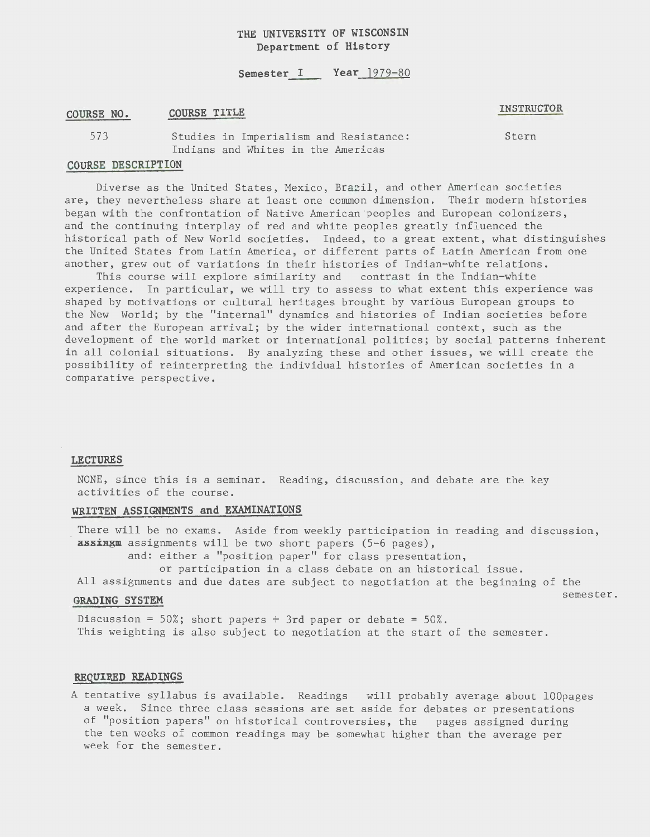# **THE UNIVERSITY OF WISCONSIN Department of History**

#### **Semester I Year**  $1979-80$

#### **COURSE NO. COURSE TITLE**

#### **INSTRUCTOR**

Studies in Imperialism and Resistance: Indians and Whites in the Americas

Stern

## **COURSE DESCRIPTION**

573

Diverse as the United States, Mexico, Brazil, and other American societies are, they nevertheless share at least one common dimension. Their modern histories began with the confrontation of Native American peoples and European colonizers, and the continuing interplay of red and white peoples greatly influenced the historical path of New World societies. Indeed, to a great extent, what distinguishes the United States from Latin America, or different parts of Latin American from one another, grew out of variations in their histories of Indian-white relations.

This course will explore similarity and contrast in the Indian-white experience. In particular, we will try to assess to what extent this experience was shaped by motivations or cultural heritages brought by various European groups to the New World; by the "internal" dynamics and histories of Indian societies before and after the European arrival; by the wider international context, such as the development of the world market or international politics; by social patterns inherent in all colonial situations. By analyzing these and other issues, we will create the possibility of reinterpreting the individual histories of American societies in a comparative perspective.

#### **LECTURES**

NONE, since this is a seminar. Reading, discussion, and debate are the key activities of the course.

### **WRITTEN ASSIGNMENTS and EXAMINATIONS**

There will be no exams. Aside from weekly participation in reading and discussion, **xsxxxgm** assignments will be two short papers (5-6 pages),

and: either a "position paper" for class presentation,

or participation in a class debate on an historical issue.

All assignments and due dates are subject to negotiation at the beginning of the

# GRADING SYSTEM **SEPTEM SEEM SEEM SEEM SEEM SEEM SEEM SEEM SEEM SEEM SEEM SEEM SEEM SEEM SEEM SEEM SEEM SEEM SEEM SEEM SEEM SEEM SEEM SEEM SEEM SEEM SEEM SEEM SEEM S**

Discussion =  $50\%$ ; short papers + 3rd paper or debate =  $50\%$ . This weighting is also subject to negotiation at the start of the semester.

# **REQUIRED READINGS**

A tentative syllabus is available. Readings will probably average about lOOpages a week. Since three class sessions are set aside for debates or presentations of "position papers" on historical controversies, the pages assigned during the ten weeks of common readings may be somewhat higher than the average per week for the semester.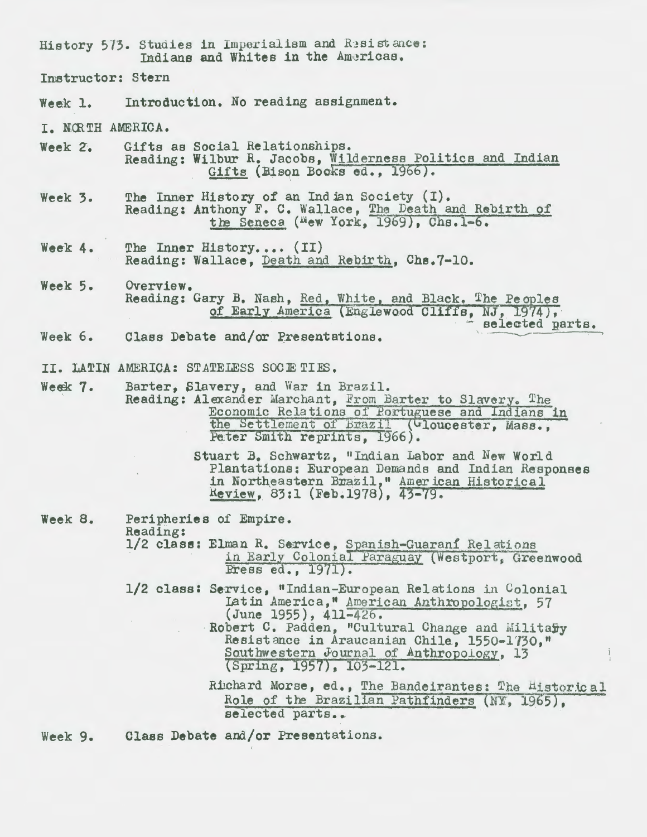History 573. Studies in Imperialism and Resistance: Indians and Whites in the Americas. Instructor: Stern Introduction. No reading assignment. Week 1. I. NORTH AMERICA. Week 2. Gifts as Social Relationships. Reading: Wilbur R. Jacobs, Wilderness Politics and Indian Gifts (Bison Books ed., 1966). The Inner History of an Indian Society (I). Week 3. Reading: Anthony F. C. Wallace, The Death and Rebirth of the Seneca (Mew York, 1969), Chs. 1-6. The Inner History.... (II) Week 4. Reading: Wallace, Death and Rebirth, Chs.7-10. Week 5. Overview. Reading: Gary B. Nash, Red, White, and Black. The Peoples of Early America (Englewood Cliffs, NJ, 1974), selected parts. Week 6. Class Debate and/or Presentations. II. LATIN AMERICA: STATELESS SOCIETIES. Week 7. Barter, Slavery, and War in Brazil. Reading: Alexander Marchant, From Barter to Slavery. The Economic Relations of Portuguese and Indians in the Settlement of Brazil (Gloucester, Mass., Peter Smith reprints, 1966). Stuart B. Schwartz, "Indian Labor and New World Plantations: European Demands and Indian Responses  $\mathcal{L}$ in Northeastern Brazil," American Historical Review, 83:1 (Feb.1978), 43-79. Week 8. Peripheries of Empire. Reading: 1/2 class: Elman R. Service, Spanish-Guarani Relations in Early Colonial Paraguay (Westport, Greenwood Bress ed., 1971). 1/2 class: Service, "Indian-European Relations in Colonial Latin America," American Anthropologist. 57 (June 1955), 411-426. Robert C. Padden, "Cultural Change and Military Resistance in Araucanian Chile, 1550-1730," Southwestern Journal of Anthropology, 13 (Spring, 1957), 103-121. Richard Morse, ed., The Bandeirantes: The Historical Role of the Brazilian Pathfinders (NY, 1965).

selected parts..

Class Debate and/or Presentations. Week 9.